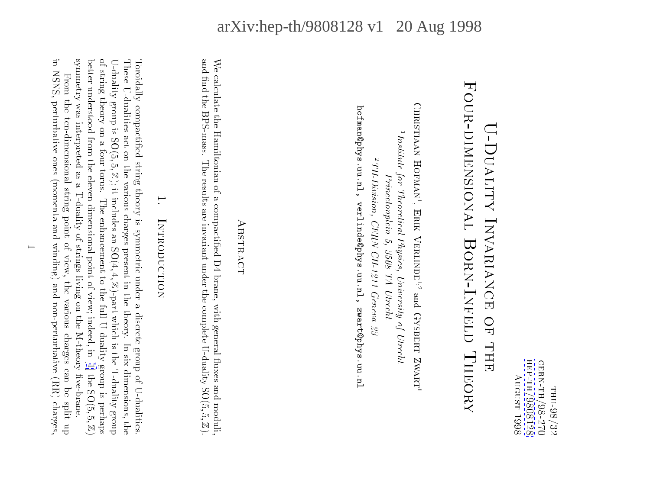нер-тн/9808128 CERN-TH/98-270 hep-th-98081<br>98081 cern-th/98-270August 1998 THU-98/32 thu-98/32 $\frac{1}{2}$ 

# Four-dimensional**FOUR-DINENSIONAL BORN-INFELL HEORY** U-Duality Invariance of the second contract of the second contract of the second contract of the second contract of the second contract of the second contract of the second contract of the second contract of the second con U-DUALITY INVARIANCE OF THE Born-InfeldTheory<br>Theory<br>Theory

Christiaan Hofman1 $^{1}$ Institute for Theoretical Physics, University of Utrecht 1Institute for Theoretical Physics, University of Utrecht $^2$  TH-Division, CERN CH-1211 Geneva 23  $1H$ -Division, CERN CH-1211 Geneva 23 Princetonplein 5, 3508 TA Utrecht Princetonplein 5, 3508 TA Utrecht, Erik Verlinder; andGysbert Zwart1

hofman@phys.uu.nl, verlinde@phys.uu.nl, zwart@phys.uu.nl

hofman@phys.uu.nl, verlinde@phys.uu.nl, zwart@phys.uu.nl

# ABSTRACT t<br>t<br>t<br>t<br>t<br>t<br>t

and find the BPS-mass. The results are invariant under the complete U-duality  $SO(5,5, \mathbb{Z})$ . We calculate the Hamiltonian of a compactified D4-brane, with general fluxes and moduli, and nd the BPS-mass. The results are invariant under the complete U-duality SO(5;We calculate the Hamiltonian of a compactionic compaction of a compaction of a compaction of a compaction of a<br>unique distribution of a compaction of a compaction of a compaction of a compaction of a compaction of a compa<br> 5;Z).

# 1.INTRODUCTION Introduction

symmetry was interpreted as a T-duality of strings living on the M-theory five-brane. of string theory on a four-torus. The enhancement to the full U-duality group is perhaps U-duality group is  $SO(5, 5, \mathbb{Z})$ ; it includes an  $SO(4, 4, \mathbb{Z})$ -part which is the T-duality group These U-dualities act on the various charges present in the theory. In six dimensions, the better understood from the eleven dimensional point of view; indeed, in [1] the  $SO(5, 5, \mathbb{Z})$ Toroidally compactified string theory is symmetric under a discrete group of U-dualities better understood from the eleven dimensional point of view; indeed,in[[1\]](#page-8-0) the SO(5;of string theory on a four-torus. The enhancement to the full U-duality group is  $\mathcal{L}(\mathcal{L})$ U-duality group is  $\frac{1}{2}$ These U-dualities act on the various charges present in the theory. In the theory. In the theory. In the theory. In the theory. In the theory. In the theory. In the theory. In the theory. In the theory. In the theory. In t Toroidally compactive string theory is supported string theory is symmetric under a discrete group of U-dualities. 5; Z); it includes an SO(4; 4; Z)-part which is the T-duality group 5;|<br>|<br>|

in NSNS, perturbative ones (momenta and winding) and non-perturbative (RR) charges in NSNS, perturbative ones (momenta and winding) and non-perturbative (RR) charges,From the ten-dimensional string point of view, the various charges can be split up  $F_{\rm{max}}$  string point of view, the view, the various charges charges charges charges can be split up to view, the various charges can be split up to view, the various charges can be split up to view, the various charges symmetry was interpreted as a T-duality of strings living on the M-theory ve-brane.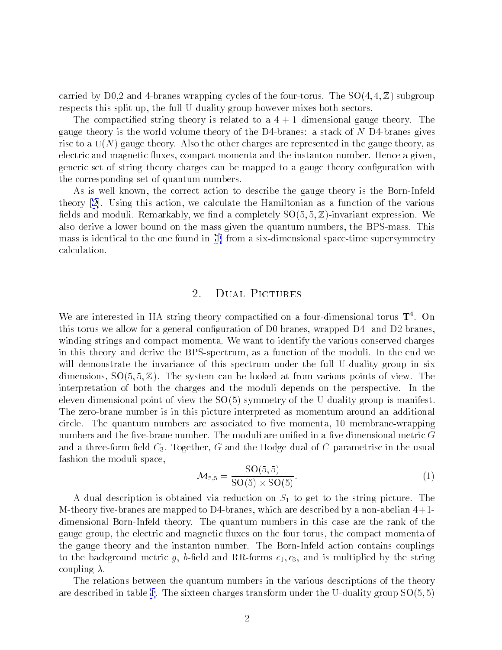carried by D0,2 and 4-branes wrapping cycles of the four-torus. The  $SO(4, 4, \mathbb{Z})$  subgroup respects this split-up, the full U-duality group however mixes both sectors.

The compactified string theory is related to a  $4+1$  dimensional gauge theory. The gauge theory is the world volume theory of the D4-branes: a stack of  $N$  D4-branes gives rise to a U(N) gauge theory. Also the other charges are represented in the gauge theory, as electric and magnetic fluxes, compact momenta and the instanton number. Hence a given, generic set of string theory charges can be mapped to a gauge theory configuration with the corresponding set of quantum numbers.

As is well known, the correct action to describe the gauge theory is the Born-Infeld theory [\[2\]](#page-8-0). Using this action, we calculate the Hamiltonian as a function of the various fields and moduli. Remarkably, we find a completely  $SO(5,5,\mathbb{Z})$ -invariant expression. We also derive a lower bound on the mass given the quantum numbers, the BPS-mass. This mass is identical to the one foundin [\[1](#page-8-0)] from a six-dimensional space-time supersymmetry calculation.

## 2. Dual Pictures

We are interested in IIA string theory compactified on a four-dimensional torus  $\mathbf{T}^4$ . On this torus we allow for a general configuration of D0-branes, wrapped D4- and D2-branes, winding strings and compact momenta. We want to identify the various conserved charges in this theory and derive the BPS-spectrum, as a function of the moduli. In the end we will demonstrate the invariance of this spectrum under the full U-duality group in six dimensions,  $SO(5, 5, \mathbb{Z})$ . The system can be looked at from various points of view. The interpretation of both the charges and the moduli depends on the perspective. In the eleven-dimensional point of view the SO(5) symmetry of the U-duality group is manifest. The zero-brane number is in this picture interpreted as momentum around an additional circle. The quantum numbers are associated to five momenta, 10 membrane-wrapping numbers and the five-brane number. The moduli are unified in a five dimensional metric  $G$ and a three-form field  $C_3$ . Together, G and the Hodge dual of C parametrise in the usual fashion the moduli space,

$$
\mathcal{M}_{5,5} = \frac{\text{SO}(5,5)}{\text{SO}(5) \times \text{SO}(5)}.\tag{1}
$$

A dual description is obtained via reduction on  $S_1$  to get to the string picture. The M-theory five-branes are mapped to D4-branes, which are described by a non-abelian  $4+1$ dimensional Born-Infeld theory. The quantum numbers in this case are the rank of the gauge group, the electric and magnetic fluxes on the four torus, the compact momenta of the gauge theory and the instanton number. The Born-Infeld action contains couplings to the background metric g, b-field and RR-forms  $c_1, c_3$ , and is multiplied by the string coupling  $\lambda$ .

The relations between the quantum numbers in the various descriptions of the theory aredescribed in table [1](#page-2-0). The sixteen charges transform under the U-duality group  $SO(5,5)$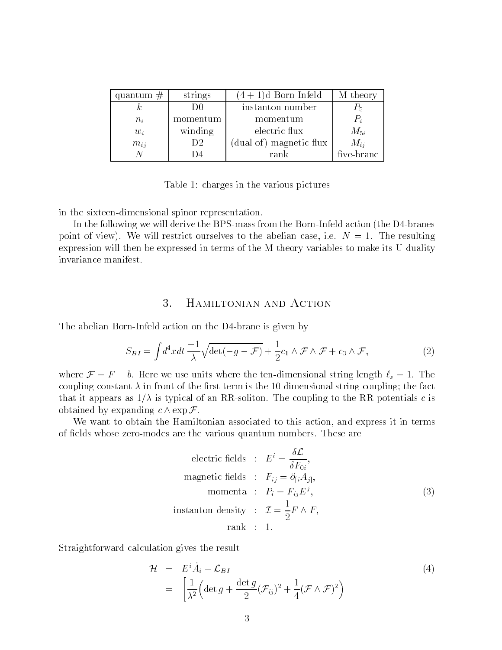<span id="page-2-0"></span>

| quantum $#$ | strings  | $(4+1)d$ Born-Infeld    | M-theory   |
|-------------|----------|-------------------------|------------|
| k.          |          | instanton number        | $P_5$      |
| $n_i$       | momentum | momentum                | $P_i$      |
| $w_i$       | winding  | electric flux           | $M_{5i}$   |
| $m_{ij}$    | D2       | (dual of) magnetic flux | $M_{ii}$   |
|             | l ) 4    | rank                    | five-brane |

Table 1: charges in the various pictures

in the sixteen-dimensional spinor representation.

In the following we will derive the BPS-mass from the Born-Infeld action (the D4-branes point of view). We will restrict ourselves to the abelian case, i.e.  $N = 1$ . The resulting expression will then be expressed in terms of the M-theory variables to make its U-duality invariance manifest.

# 3. Hamiltonian and Action

The abelian Born-Infeld action on the D4-brane is given by

$$
S_{BI} = \int d^4x dt \, \frac{-1}{\lambda} \sqrt{\det(-g - \mathcal{F})} + \frac{1}{2} c_1 \wedge \mathcal{F} \wedge \mathcal{F} + c_3 \wedge \mathcal{F},\tag{2}
$$

where  $\mathcal{F} = F - b$ . Here we use units where the ten-dimensional string length  $\ell_s = 1$ . The coupling constant  $\lambda$  in front of the first term is the 10 dimensional string coupling; the fact that it appears as  $1/\lambda$  is typical of an RR-soliton. The coupling to the RR potentials c is obtained by expanding  $c \wedge \exp \mathcal{F}$ .

We want to obtain the Hamiltonian associated to this action, and express it in terms of fields whose zero-modes are the various quantum numbers. These are

electric fields : 
$$
E^i = \frac{\delta \mathcal{L}}{\delta F_{0i}},
$$
  
\nmagnetic fields :  $F_{ij} = \partial_{[i} A_{j]},$   
\nmomenta :  $P_i = F_{ij} E^j,$   
\ninstanton density :  $\mathcal{I} = \frac{1}{2} F \wedge F,$   
\nrank : 1.

Straightforward calculation gives the result

$$
\mathcal{H} = E^i \dot{A}_i - \mathcal{L}_{BI}
$$
\n
$$
= \left[ \frac{1}{\lambda^2} \left( \det g + \frac{\det g}{2} (\mathcal{F}_{ij})^2 + \frac{1}{4} (\mathcal{F} \wedge \mathcal{F})^2 \right) \right]
$$
\n(4)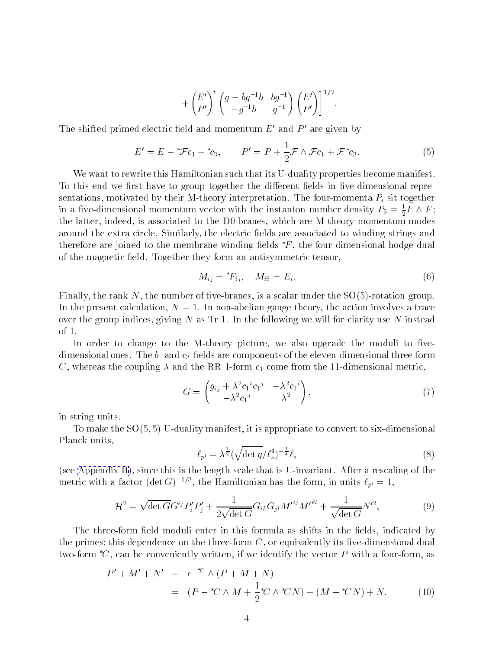$$
+\left(\begin{matrix}E'\\P'\end{matrix}\right)^t\left(\begin{matrix}g-bg^{-1}b&bg^{-1}\\-g^{-1}b&g^{-1}\end{matrix}\right)\left(\begin{matrix}E'\\P'\end{matrix}\right)\Big|^{1/2}.
$$

<span id="page-3-0"></span>The shifted primed electric field and momentum  $E'$  and  $P'$  are given by

$$
E' = E - {}^*\mathcal{F}c_1 + {}^*c_3, \qquad P' = P + \frac{1}{2}\mathcal{F} \wedge \mathcal{F}c_1 + \mathcal{F}^*c_3.
$$
 (5)

We want to rewrite this Hamiltonian such that its U-duality properties become manifest. To this end we first have to group together the different fields in five-dimensional representations, motivated by their M-theory interpretation. The four-momenta  $P_i$  sit together in a five-dimensional momentum vector with the instanton number density  $F_5 = \frac{1}{2}F \wedge F$ ; the latter, indeed, is associated to the D0-branes, which are M-theory momentum modes around the extra circle. Similarly, the electric fields are associated to winding strings and therefore are joined to the membrane winding fields  $*F$ , the four-dimensional hodge dual of the magnetic field. Together they form an antisymmetric tensor,

$$
M_{ij} = {}^*F_{ij}, \quad M_{i5} = E_i. \tag{6}
$$

Finally, the rank N, the number of five-branes, is a scalar under the  $SO(5)$ -rotation group. In the present calculation,  $N = 1$ . In non-abelian gauge theory, the action involves a trace over the group indices, giving  $N$  as Tr 1. In the following we will for clarity use  $N$  instead of 1.

In order to change to the M-theory picture, we also upgrade the moduli to fivedimensional ones. The  $b$ - and  $c_3$ -fields are components of the eleven-dimensional three-form C, whereas the coupling  $\lambda$  and the RR 1-form  $c_1$  come from the 11-dimensional metric,

$$
G = \begin{pmatrix} g_{ij} + \lambda^2 c_1^i c_1^j & -\lambda^2 c_1^i \\ -\lambda^2 c_1^j & \lambda^2 \end{pmatrix},
$$
\n
$$
(7)
$$

in string units.

To make the SO(5; 5) U-duality manifest, it is appropriate to convert to six-dimensional Planck units,

$$
\ell_{pl} = \lambda^{\frac{1}{2}} (\sqrt{\det g} / \ell_s^4)^{-\frac{1}{4}} \ell_s \tag{8}
$$

(see [Appendix B\)](#page-7-0), since this is the length scale that is U-invariant. After a rescaling of the metric with a factor (det G)<sup>-7-</sup>, the Hamiltonian has the form, in units  $\ell_{pl} = 1,$ 

$$
\mathcal{H}^{2} = \sqrt{\det G} G^{ij} P'_{i} P'_{j} + \frac{1}{2\sqrt{\det G}} G_{ik} G_{jl} M'^{ij} M'^{kl} + \frac{1}{\sqrt{\det G}} N'^{2}, \tag{9}
$$

The three-form field moduli enter in this formula as shifts in the fields, indicated by the primes; this dependence on the three-form  $C$ , or equivalently its five-dimensional dual two-form  ${}^*C$ , can be conveniently written, if we identify the vector P with a four-form, as

$$
P' + M' + N' = e^{-*C} \wedge (P + M + N)
$$
  
=  $(P - *C \wedge M + \frac{1}{2} *C \wedge *CN) + (M - *CN) + N.$  (10)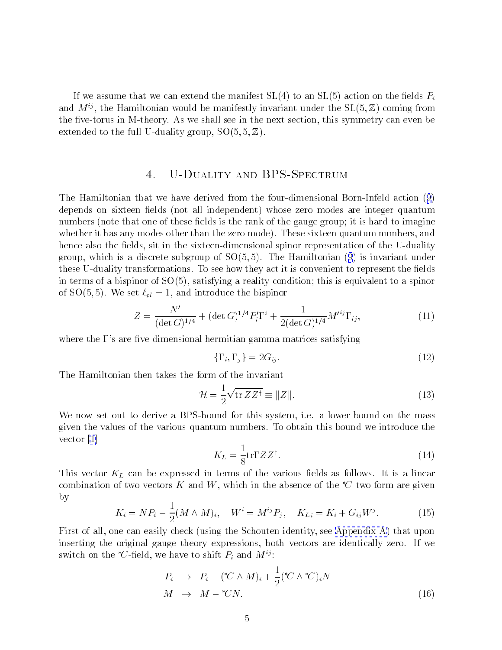If we assume that we can extend the manifest  $SL(4)$  to an  $SL(5)$  action on the fields  $P_i$ and  $M^{ij}$ , the Hamiltonian would be manifestly invariant under the  $SL(5, \mathbb{Z})$  coming from the five-torus in M-theory. As we shall see in the next section, this symmetry can even be extended to the full U-duality group,  $SO(5, 5, \mathbb{Z})$ .

#### $\overline{4}$ . U-DUALITY AND BPS-SPECTRUM

The Hamiltonian that we have derived from the four-dimensional Born-Infeld action([9](#page-3-0)) depends on sixteen fields (not all independent) whose zero modes are integer quantum numbers (note that one of these fields is the rank of the gauge group; it is hard to imagine whether it has any modes other than the zero mode). These sixteen quantum numbers, and hence also the fields, sit in the sixteen-dimensional spinor representation of the U-duality group,which is a discrete subgroup of  $SO(5,5)$ . The Hamiltonian  $(9)$  $(9)$  $(9)$  is invariant under these U-duality transformations. To see how they act it is convenient to represent the fields in terms of a bispinor of  $SO(5)$ , satisfying a reality condition; this is equivalent to a spinor of SO(5,5). We set  $\ell_{pl} = 1$ , and introduce the bispinor

$$
Z = \frac{N'}{(\det G)^{1/4}} + (\det G)^{1/4} P_i' \Gamma^i + \frac{1}{2(\det G)^{1/4}} M'^{ij} \Gamma_{ij},\tag{11}
$$

where the  $\Gamma$ 's are five-dimensional hermitian gamma-matrices satisfying

$$
\{\Gamma_i, \Gamma_j\} = 2G_{ij}.\tag{12}
$$

The Hamiltonian then takes the form of the invariant

$$
\mathcal{H} = \frac{1}{2} \sqrt{\text{tr } Z Z^{\dagger}} \equiv \|Z\|.
$$
 (13)

We now set out to derive a BPS-bound for this system, i.e. a lower bound on the mass given the values of the various quantum numbers. To obtain this bound we introduce the vector [\[1](#page-8-0)]

$$
K_L = \frac{1}{8} \text{tr} \Gamma Z Z^{\dagger}.
$$
 (14)

This vector  $K_L$  can be expressed in terms of the various fields as follows. It is a linear combination of two vectors K and W, which in the absence of the  ${}^*\!C$  two-form are given by

$$
K_i = NP_i - \frac{1}{2}(M \wedge M)_i, \quad W^i = M^{ij}P_j, \quad K_{Li} = K_i + G_{ij}W^j.
$$
 (15)

First of all, one can easily check (using the Schouten identity,see [Appendix A\)](#page-6-0) that upon inserting the original gauge theory expressions, both vectors are identically zero. If we switch on the  ${}^*\mathcal{C}$ -field, we have to shift  $P_i$  and  $M^{ij}$ :

$$
P_i \rightarrow P_i - (*C \wedge M)_i + \frac{1}{2} (*C \wedge *C)_i N
$$
  

$$
M \rightarrow M - *CN.
$$
 (16)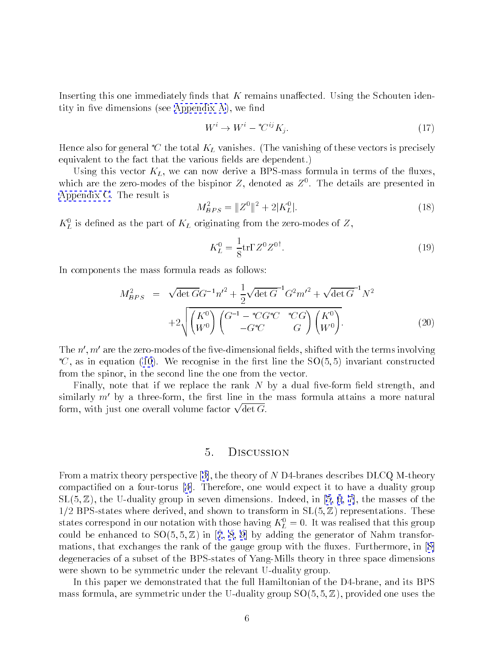Inserting this one immediately finds that  $K$  remains unaffected. Using the Schouten identityin five dimensions (see Appendix  $A$ ), we find

$$
W^i \to W^i - {}^*C^{ij}K_j. \tag{17}
$$

Hence also for general  ${}^*\!C$  the total  $K_L$  vanishes. (The vanishing of these vectors is precisely equivalent to the fact that the various fields are dependent.)

Using this vector  $K_L$ , we can now derive a BPS-mass formula in terms of the fluxes, which are the zero-modes of the bispinor  $\mathbb Z$ , denoted as  $\mathbb Z^+$ . The details are presented in [Appendix C](#page-7-0). The result is

$$
M_{BPS}^2 = \|Z^0\|^2 + 2|K_L^0|.\tag{18}
$$

 $\mathbf{n}_{\tilde{L}}$  is defined as the part of  $\mathbf{n}_L$  originating from the zero-modes of  $\mathbf{z},$ 

$$
K_L^0 = \frac{1}{8} \text{tr} \Gamma Z^0 Z^{0^{\dagger}}.
$$
\n(19)

In components the mass formula reads as follows:

$$
M_{BPS}^2 = \sqrt{\det G} G^{-1} n'^2 + \frac{1}{2} \sqrt{\det G}^{-1} G^2 m'^2 + \sqrt{\det G}^{-1} N^2
$$
  
+2\sqrt{\begin{pmatrix} K^0 \\ W^0 \end{pmatrix} \begin{pmatrix} G^{-1} - ^\*CG^\*C & ^\*CG \\ -G^\*C & G \end{pmatrix} \begin{pmatrix} K^0 \\ W^0 \end{pmatrix}}. (20)

The  $n', m'$  are the zero-modes of the five-dimensional fields, shifted with the terms involving  $C$ , as in equation [\(10](#page-3-0)). We recognise in the first line the  $SO(5,5)$  invariant constructed from the spinor, in the second line the one from the vector.

Finally, note that if we replace the rank  $N$  by a dual five-form field strength, and similarly  $m'$  by a three-form, the first line in the mass formula attains a more natural form, with just one overall volume factor  $\sqrt{\det G}$ .

#### 5. Discussion

From a matrix theory perspective[[3\]](#page-8-0), the theory of N D4-branes describes DLCQ M-theory compactied on a four-torus [\[4](#page-8-0)]. Therefore, one would expect it to have a duality group  $SL(5, \mathbb{Z})$  $SL(5, \mathbb{Z})$  $SL(5, \mathbb{Z})$ , the U-duality group in seven dimensions. Indeed, in [\[5](#page-8-0), [6](#page-8-0), [7\]](#page-8-0), the masses of the  $1/2$  BPS-states where derived, and shown to transform in  $SL(5, \mathbb{Z})$  representations. These states correspond in our notation with those having  $\Lambda_L^+ = 0.$  It was realised that this group couldbe enhanced to  $SO(5, 5, \mathbb{Z})$  in [[7](#page-8-0), [8](#page-8-0), [9](#page-8-0)] by adding the generator of Nahm transfor-mations,that exchanges the rank of the gauge group with the fluxes. Furthermore, in [\[8\]](#page-8-0) degeneracies of a subset of the BPS-states of Yang-Mills theory in three space dimensions were shown to be symmetric under the relevant U-duality group.

In this paper we demonstrated that the full Hamiltonian of the D4-brane, and its BPS mass formula, are symmetric under the U-duality group  $SO(5, 5, \mathbb{Z})$ , provided one uses the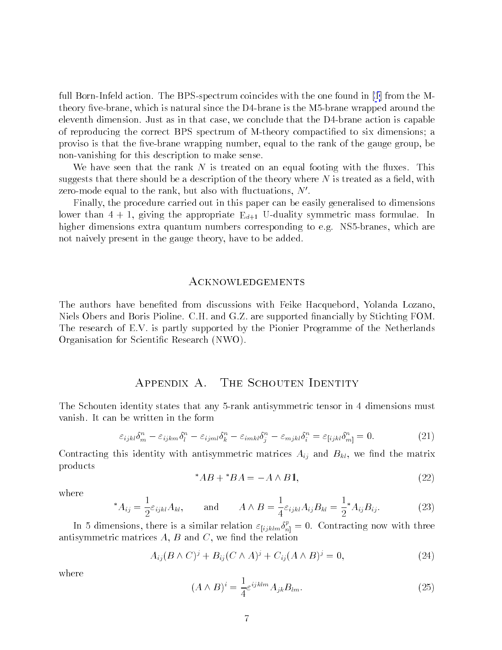<span id="page-6-0"></span>full Born-Infeld action. The BPS-spectrum coincides with the one foundin [\[1](#page-8-0)] from the Mtheory five-brane, which is natural since the  $D4$ -brane is the M5-brane wrapped around the eleventh dimension. Just as in that case, we conclude that the D4-brane action is capable of reproducing the correct BPS spectrum of M-theory compactied to six dimensions; a proviso is that the five-brane wrapping number, equal to the rank of the gauge group, be non-vanishing for this description to make sense.

We have seen that the rank N is treated on an equal footing with the fluxes. This suggests that there should be a description of the theory where  $N$  is treated as a field, with zero-mode equal to the rank, but also with fluctuations,  $N'$ .

Finally, the procedure carried out in this paper can be easily generalised to dimensions lower than 4  $\pm$  1, given the appropriate Eduality symmetric mass formulae. In the approximate Eduality symmetric mass for  $\pm$ higher dimensions extra quantum numbers corresponding to e.g. NS5-branes, which are not naively present in the gauge theory, have to be added.

### ACKNOWLEDGEMENTS

The authors have beneted from discussions with Feike Hacquebord, Yolanda Lozano, Niels Obers and Boris Pioline. C.H. and G.Z. are supported financially by Stichting FOM. The research of E.V. is partly supported by the Pionier Programme of the Netherlands Organisation for Scientic Research (NWO).

# Appendix A. The Schouten Identity

The Schouten identity states that any 5-rank antisymmetric tensor in 4 dimensions must vanish. It can be written in the form

$$
\varepsilon_{ijkl}\delta^n_m - \varepsilon_{ijkm}\delta^n_l - \varepsilon_{ijml}\delta^n_k - \varepsilon_{imkl}\delta^n_j - \varepsilon_{mjkl}\delta^n_i = \varepsilon_{[ijkl}\delta^n_{m]} = 0.
$$
 (21)

Contracting this identity with antisymmetric matrices  $A_{ij}$  and  $B_{kl}$ , we find the matrix products

$$
^*AB + ^*BA = -A \wedge B1,
$$
\n<sup>(22)</sup>

where

$$
^*A_{ij} = \frac{1}{2} \varepsilon_{ijkl} A_{kl}, \quad \text{and} \quad A \wedge B = \frac{1}{4} \varepsilon_{ijkl} A_{ij} B_{kl} = \frac{1}{2}^* A_{ij} B_{ij}.
$$
 (23)

In 5 dimensions, there is a similar relation  $\varepsilon_{[ijklm} \delta_n^t = 0$ . Contracting now with three antisymmetric matrices  $A, B$  and  $C$ , we find the relation

$$
A_{ij}(B \wedge C)^j + B_{ij}(C \wedge A)^j + C_{ij}(A \wedge B)^j = 0,
$$
\n<sup>(24)</sup>

where

$$
(A \wedge B)^i = \frac{1}{4} \varepsilon^{ijklm} A_{jk} B_{lm}.
$$
 (25)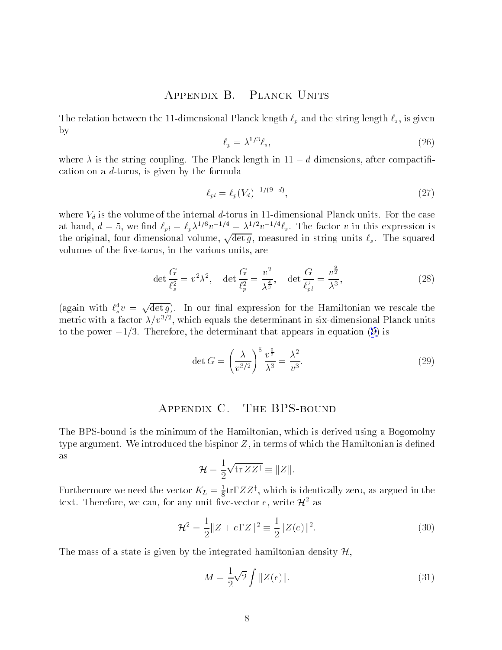#### PLANCK UNITS APPENDIX B.

<span id="page-7-0"></span>The relation between the 11-dimensional Planck length  $\ell_p$  and the string length  $\ell_s$ , is given by

$$
\ell_p = \lambda^{1/3} \ell_s,\tag{26}
$$

where  $\lambda$  is the string coupling. The Planck length in  $11-d$  dimensions, after compactification on a d-torus, is given by the formula

$$
\ell_{pl} = \ell_p(V_d)^{-1/(9-d)},\tag{27}
$$

where  $V_d$  is the volume of the internal d-torus in 11-dimensional Planck units. For the case at hand,  $d = 5$ , we find  $\ell_{pl} = \ell_p \lambda^{1/6} v^{-1/4} = \lambda^{1/2} v^{-1/4} \ell_s$ . The factor v in this expression is the original, four-dimensional volume,  $\sqrt{\det g}$ , measured in string units  $\ell_s$ . The squared volumes of the five-torus, in the various units, are

$$
\det \frac{G}{\ell_s^2} = v^2 \lambda^2, \quad \det \frac{G}{\ell_p^2} = \frac{v^2}{\lambda^{\frac{4}{3}}}, \quad \det \frac{G}{\ell_{pl}^2} = \frac{v^{\frac{9}{2}}}{\lambda^3},\tag{28}
$$

(again with  $\ell_s^4 v = \sqrt{\det g}$ ). In our final expression for the Hamiltonian we rescale the metric with a factor  $\lambda/\mathit{v}^{-\prime}$  , which equals the determinant in six-dimensional Planck units to the power  $-1/3$ . Therefore, the determinant that appears in equation [\(9\)](#page-3-0) is

$$
\det G = \left(\frac{\lambda}{v^{3/2}}\right)^5 \frac{v^{\frac{9}{2}}}{\lambda^3} = \frac{\lambda^2}{v^3}.
$$
\n(29)

# Appendix C. The BPS-bound

The BPS-bound is the minimum of the Hamiltonian, which is derived using a Bogomolny type argument. We introduced the bispinor  $Z$ , in terms of which the Hamiltonian is defined as

$$
\mathcal{H} = \frac{1}{2} \sqrt{\operatorname{tr} ZZ^{\dagger}} \equiv ||Z||.
$$

Furthermore we need the vector  $K_L = \frac{1}{8}$ trl  $ZZ^+$ , which is identically zero, as argued in the text. Therefore, we can, for any unit five-vector e, write  $\mathcal{H}^2$  as

$$
\mathcal{H}^2 = \frac{1}{2} \|Z + e\Gamma Z\|^2 \equiv \frac{1}{2} \|Z(e)\|^2.
$$
 (30)

The mass of a state is given by the integrated hamiltonian density  $\mathcal{H}$ ,

$$
M = \frac{1}{2}\sqrt{2} \int \|Z(e)\|.\tag{31}
$$